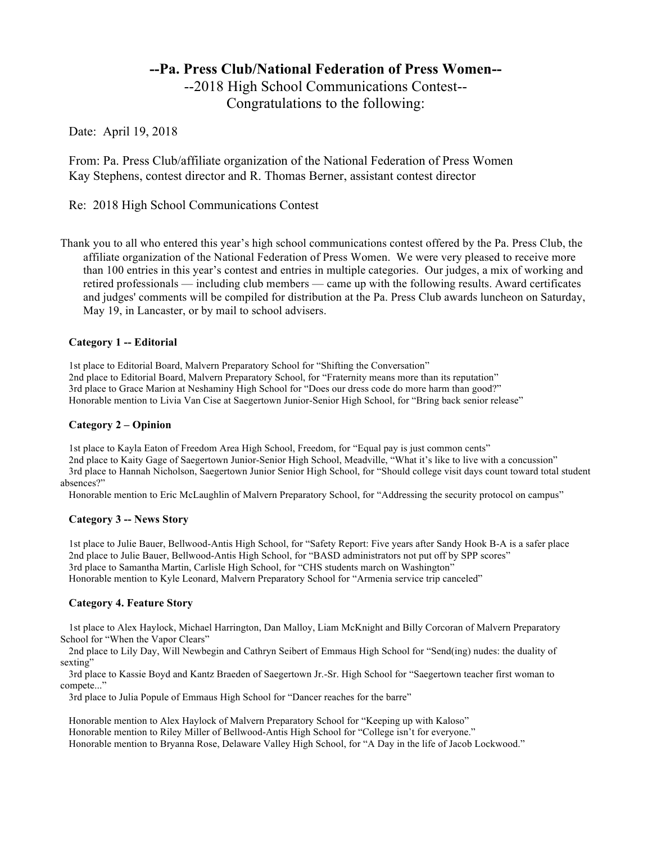# **--Pa. Press Club/National Federation of Press Women--** --2018 High School Communications Contest-- Congratulations to the following:

Date: April 19, 2018

From: Pa. Press Club/affiliate organization of the National Federation of Press Women Kay Stephens, contest director and R. Thomas Berner, assistant contest director

Re: 2018 High School Communications Contest

Thank you to all who entered this year's high school communications contest offered by the Pa. Press Club, the affiliate organization of the National Federation of Press Women. We were very pleased to receive more than 100 entries in this year's contest and entries in multiple categories. Our judges, a mix of working and retired professionals — including club members — came up with the following results. Award certificates and judges' comments will be compiled for distribution at the Pa. Press Club awards luncheon on Saturday, May 19, in Lancaster, or by mail to school advisers.

# **Category 1 -- Editorial**

1st place to Editorial Board, Malvern Preparatory School for "Shifting the Conversation" 2nd place to Editorial Board, Malvern Preparatory School, for "Fraternity means more than its reputation" 3rd place to Grace Marion at Neshaminy High School for "Does our dress code do more harm than good?" Honorable mention to Livia Van Cise at Saegertown Junior-Senior High School, for "Bring back senior release"

# **Category 2 – Opinion**

1st place to Kayla Eaton of Freedom Area High School, Freedom, for "Equal pay is just common cents"

2nd place to Kaity Gage of Saegertown Junior-Senior High School, Meadville, "What it's like to live with a concussion" 3rd place to Hannah Nicholson, Saegertown Junior Senior High School, for "Should college visit days count toward total student absences?"

Honorable mention to Eric McLaughlin of Malvern Preparatory School, for "Addressing the security protocol on campus"

# **Category 3 -- News Story**

1st place to Julie Bauer, Bellwood-Antis High School, for "Safety Report: Five years after Sandy Hook B-A is a safer place 2nd place to Julie Bauer, Bellwood-Antis High School, for "BASD administrators not put off by SPP scores" 3rd place to Samantha Martin, Carlisle High School, for "CHS students march on Washington" Honorable mention to Kyle Leonard, Malvern Preparatory School for "Armenia service trip canceled"

# **Category 4. Feature Story**

1st place to Alex Haylock, Michael Harrington, Dan Malloy, Liam McKnight and Billy Corcoran of Malvern Preparatory School for "When the Vapor Clears"

2nd place to Lily Day, Will Newbegin and Cathryn Seibert of Emmaus High School for "Send(ing) nudes: the duality of sexting"

3rd place to Kassie Boyd and Kantz Braeden of Saegertown Jr.-Sr. High School for "Saegertown teacher first woman to compete..."

3rd place to Julia Popule of Emmaus High School for "Dancer reaches for the barre"

Honorable mention to Alex Haylock of Malvern Preparatory School for "Keeping up with Kaloso" Honorable mention to Riley Miller of Bellwood-Antis High School for "College isn't for everyone." Honorable mention to Bryanna Rose, Delaware Valley High School, for "A Day in the life of Jacob Lockwood."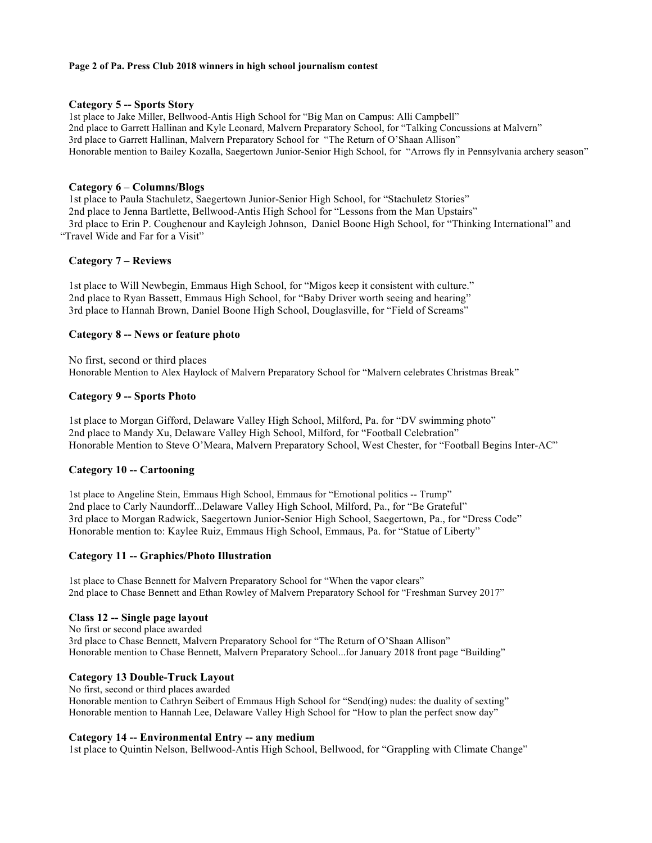#### **Page 2 of Pa. Press Club 2018 winners in high school journalism contest**

#### **Category 5 -- Sports Story**

1st place to Jake Miller, Bellwood-Antis High School for "Big Man on Campus: Alli Campbell" 2nd place to Garrett Hallinan and Kyle Leonard, Malvern Preparatory School, for "Talking Concussions at Malvern" 3rd place to Garrett Hallinan, Malvern Preparatory School for "The Return of O'Shaan Allison" Honorable mention to Bailey Kozalla, Saegertown Junior-Senior High School, for "Arrows fly in Pennsylvania archery season"

# **Category 6 – Columns/Blogs**

1st place to Paula Stachuletz, Saegertown Junior-Senior High School, for "Stachuletz Stories" 2nd place to Jenna Bartlette, Bellwood-Antis High School for "Lessons from the Man Upstairs" 3rd place to Erin P. Coughenour and Kayleigh Johnson, Daniel Boone High School, for "Thinking International" and "Travel Wide and Far for a Visit"

# **Category 7 – Reviews**

1st place to Will Newbegin, Emmaus High School, for "Migos keep it consistent with culture." 2nd place to Ryan Bassett, Emmaus High School, for "Baby Driver worth seeing and hearing" 3rd place to Hannah Brown, Daniel Boone High School, Douglasville, for "Field of Screams"

# **Category 8 -- News or feature photo**

No first, second or third places Honorable Mention to Alex Haylock of Malvern Preparatory School for "Malvern celebrates Christmas Break"

# **Category 9 -- Sports Photo**

1st place to Morgan Gifford, Delaware Valley High School, Milford, Pa. for "DV swimming photo" 2nd place to Mandy Xu, Delaware Valley High School, Milford, for "Football Celebration" Honorable Mention to Steve O'Meara, Malvern Preparatory School, West Chester, for "Football Begins Inter-AC"

# **Category 10 -- Cartooning**

1st place to Angeline Stein, Emmaus High School, Emmaus for "Emotional politics -- Trump" 2nd place to Carly Naundorff...Delaware Valley High School, Milford, Pa., for "Be Grateful" 3rd place to Morgan Radwick, Saegertown Junior-Senior High School, Saegertown, Pa., for "Dress Code" Honorable mention to: Kaylee Ruiz, Emmaus High School, Emmaus, Pa. for "Statue of Liberty"

# **Category 11 -- Graphics/Photo Illustration**

1st place to Chase Bennett for Malvern Preparatory School for "When the vapor clears" 2nd place to Chase Bennett and Ethan Rowley of Malvern Preparatory School for "Freshman Survey 2017"

# **Class 12 -- Single page layout**

No first or second place awarded 3rd place to Chase Bennett, Malvern Preparatory School for "The Return of O'Shaan Allison" Honorable mention to Chase Bennett, Malvern Preparatory School...for January 2018 front page "Building"

# **Category 13 Double-Truck Layout**

No first, second or third places awarded Honorable mention to Cathryn Seibert of Emmaus High School for "Send(ing) nudes: the duality of sexting" Honorable mention to Hannah Lee, Delaware Valley High School for "How to plan the perfect snow day"

# **Category 14 -- Environmental Entry -- any medium**

1st place to Quintin Nelson, Bellwood-Antis High School, Bellwood, for "Grappling with Climate Change"